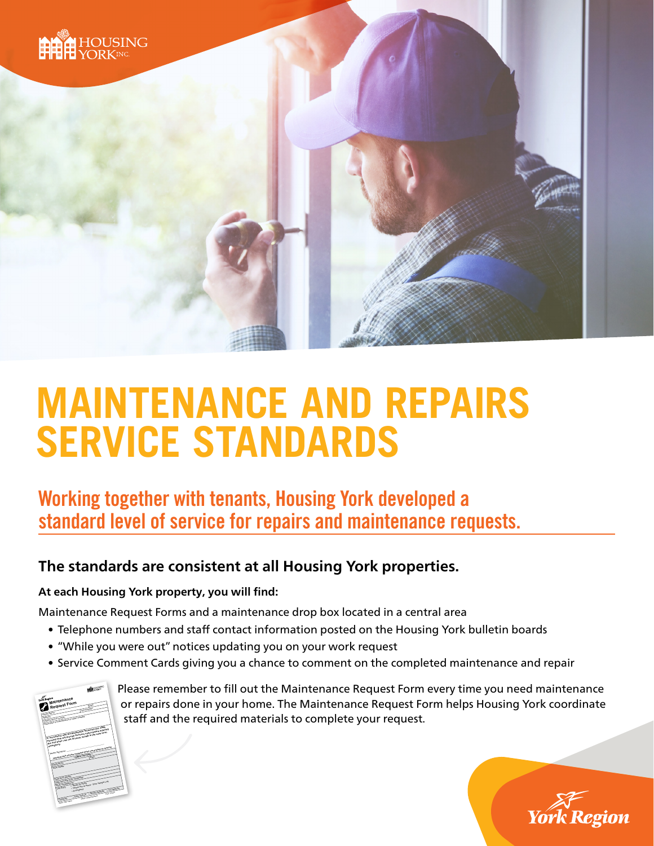

# **MAINTENANCE AND REPAIRS SERVICE STANDARDS**

### Working together with tenants, Housing York developed a standard level of service for repairs and maintenance requests.

### **The standards are consistent at all Housing York properties.**

#### **At each Housing York property, you will find:**

Maintenance Request Forms and a maintenance drop box located in a central area

- Telephone numbers and staff contact information posted on the Housing York bulletin boards
- "While you were out" notices updating you on your work request
- Service Comment Cards giving you a chance to comment on the completed maintenance and repair



Please remember to fill out the Maintenance Request Form every time you need maintenance or repairs done in your home. The Maintenance Request Form helps Housing York coordinate staff and the required materials to complete your request.